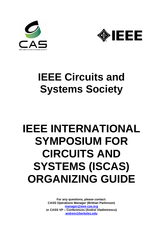



# **IEEE Circuits and Systems Society**

# **IEEE INTERNATIONAL SYMPOSIUM FOR CIRCUITS AND SYSTEMS (ISCAS) ORGANIZING GUIDE**

**For any questions, please contact: CASS Operations Manager (Brittian Parkinson) [manager@ieee-cas.org](mailto:manager@ieee-cas.org) or CASS VP – Conferences (Andrei Vladimirescu) [andreiv@berkeley.edu](mailto:anderiv@berkeley.edu)**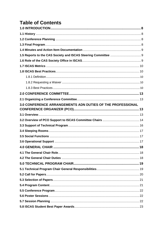# **Table of Contents**

| 3.0 CONFERENCE ARRANGEMENTS ADN DUTIES OF THE PROFESSIONAL |  |
|------------------------------------------------------------|--|
|                                                            |  |
|                                                            |  |
|                                                            |  |
|                                                            |  |
|                                                            |  |
|                                                            |  |
|                                                            |  |
|                                                            |  |
|                                                            |  |
|                                                            |  |
|                                                            |  |
|                                                            |  |
|                                                            |  |
|                                                            |  |
|                                                            |  |
|                                                            |  |
|                                                            |  |
|                                                            |  |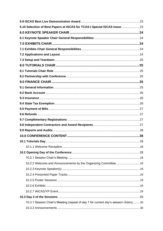| 5.10 Selection of Best Papers at ISCAS for TCAS-I Special ISCAS Issue  23           |  |
|-------------------------------------------------------------------------------------|--|
|                                                                                     |  |
|                                                                                     |  |
|                                                                                     |  |
|                                                                                     |  |
|                                                                                     |  |
|                                                                                     |  |
|                                                                                     |  |
|                                                                                     |  |
|                                                                                     |  |
|                                                                                     |  |
|                                                                                     |  |
|                                                                                     |  |
|                                                                                     |  |
|                                                                                     |  |
|                                                                                     |  |
|                                                                                     |  |
|                                                                                     |  |
|                                                                                     |  |
|                                                                                     |  |
|                                                                                     |  |
|                                                                                     |  |
|                                                                                     |  |
|                                                                                     |  |
|                                                                                     |  |
|                                                                                     |  |
|                                                                                     |  |
|                                                                                     |  |
|                                                                                     |  |
|                                                                                     |  |
|                                                                                     |  |
|                                                                                     |  |
| 10.3.1 Session Chair's Meeting (repeat of day 1 for current day's session chairs)30 |  |
|                                                                                     |  |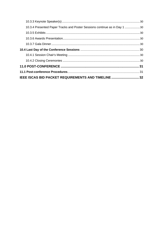| 10.3.4 Presented Paper Tracks and Poster Sessions continue as in Day 1 30 |  |
|---------------------------------------------------------------------------|--|
|                                                                           |  |
|                                                                           |  |
|                                                                           |  |
|                                                                           |  |
|                                                                           |  |
|                                                                           |  |
|                                                                           |  |
|                                                                           |  |
| IEEE ISCAS BID PACKET REQUIREMENTS AND TIMELINE  32                       |  |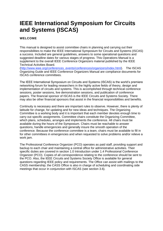# **IEEE International Symposium for Circuits and Systems (ISCAS)**

#### **WELCOME**

This manual is designed to assist committee chairs in planning and carrying out their responsibilities to make the IEEE International Symposium for Circuits and Systems (ISCAS) a success. Included are general guidelines, answers to some operational questions and suggested deadline dates for various stages of progress. This Operations Manual is a supplement to the overall IEEE Conference Organizers material published by the IEEE Technical Activities Board.

[\(http://www.ieee.org/conferences\\_events/conferences/organizers/index.html\)](http://www.ieee.org/conferences_events/conferences/organizers/index.html). The ISCAS Organizing Guide and IEEE Conference Organizers Manual are compliance documents for ISCAS conference committees.

The IEEE International Symposium on Circuits and Systems (ISCAS) is the world's premiere networking forum for leading researchers in the highly active fields of theory, design and implementation of circuits and systems. This is accomplished through technical conference sessions, poster sessions, live demonstration sessions, and publication of conference papers. The financial sponsor of ISCAS is the IEEE Circuits and Systems Society. There may also be other financial sponsors that assist in the financial responsibilities and benefits.

Continuity is necessary and there are important rules to observe. However, there is plenty of latitude for change, for updating and for new ideas and techniques. The Organizing Committee is a working body and it is important that each member devotes enough time to carry out specific assignments. Committee chairs constitute the Organizing Committee, which plans, schedules, arranges and implements the conference. All chairs must be available during the hours of the Symposium. Chairs must be reachable to answer questions, handle emergencies and generally insure the smooth operation of the conference. Because the conference committee is a team, chairs must be available to fill in for other committees in emergencies and when requested to solve problems and/or relieve a work jam.

The Professional Conference Organizer (PCO) operates as paid staff, providing support and backup to each chair and maintaining a central office for administrative activities. Their specific duties are covered in section 1.0 Introduction under 1.4 Professional Conference Organizer (PCO). Copies of all correspondence relating to the conference should be sent to the PCO. Also, the IEEE Circuits and Systems Society Office is available for general questions regarding IEEE policy and requirements. The Office can assist with mailings to the CASS membership; the CASS Office is also in charge of scheduling and coordinating side meetings that occur in conjunction with ISCAS (see section 3.6).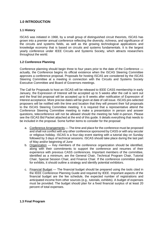#### <span id="page-5-0"></span>**1.0 INTRODUCTION**

#### <span id="page-5-1"></span>**1.1 History**

ISCAS was initiated in 1968, by a small group of distinguished circuit theorists, ISCAS has grown into a premier annual conference reflecting the diversity, richness, and significance of the circuits and systems fields, as well as the growing technological applications and knowledge economy that is based on circuits and systems fundamentals. It is the largest yearly conference under [IEEE Circuits and Systems Society,](http://en.wikipedia.org/wiki/IEEE_Circuits_and_Systems_Society) which attracts researchers throughout the world.

#### <span id="page-5-2"></span>**1.2 Conference Planning**

Conference planning should begin three to four years prior to the date of the Conference actually, the Conference begins its official existence when the ISCAS Steering Committee approves a conference proposal. Proposals for hosting ISCAS are considered by the ISCAS Steering Committee at a meeting in connection with the Circuits and Systems Society Executive Committee and Board of Governors meetings.

The Call for Proposals to host an ISCAS will be released to IEEE CASS membership in early January, the Expression of Interest will be accepted up to 5 weeks after the call is sent out and the final bid proposal will be accepted up to 8 weeks after notification of Expression of Interest acceptance. More precise dates will be given at date of call issue. ISCAS pre-selected proposers will be notified with the time and location that they will present their full proposals to the ISCAS Steering Committee meeting. It is required that a representative attend the Conference Steering Committee meeting to make a presentation in person and answer questions, teleconference will not be allowed should the meeting be held in-person. Please see the ISCAS Bid Packet attached at the end of this guide. It details everything that needs to be included in the proposal. Some further items to consider for the proposal:

- a. Conference Arrangements The time and place for the conference must be proposed and shall not conflict with any other conference sponsored by CASS or with any secular or religious holiday. ISCAS is a four-day event starting with a tutorial day on Sunday followed by 3 days of technical sessions. ISCAS should take place during the last part of May and/or beginning of June
- b. Organization Key members of the conference organization should be identified, along with their commitments to support the conference and resumes of their experience with previous CASS conferences. Important members of the committee, identified as a minimum, are the General Chair, Technical Program Chair, Tutorial Chair, Special Session Chair, and Finance Chair. If the conference committee plans for exhibits, it should outline a strategy and identify potential exhibitors.
- c. Financial Budget The financial budget should be prepared using the tools cited in the IEEE Conference Planning Guide and required by IEEE. Important aspects of the financial budget are the fee schedule, the expected number of registrations and anticipated income from other sources (e.g., tutorials, exhibits). A budget of expenses must be provided. The budget should plan for a fixed financial surplus of at least 20 percent of total expenses.

#### <span id="page-5-3"></span>**1.3 Final Program**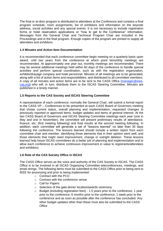The final or at-door program is distributed to attendees at the Conference and contains a final program schedule, room assignments, list of exhibitors and information on the keynote address, social activities and any special events. It is not necessary to include registration forms or hotel reservation applications or "how to get to the Conference" information. Messages from the General Chair and Technical Program Chair are included in the Proceedings and in the final program. Enough copies of the program are printed to supply all attendees and exhibitors.

#### <span id="page-6-0"></span>**1.4 Minutes and Action Item Documentation**

It is recommended that each conference committee begin meeting on a quarterly basis upon award, until two years from the conference at which point bimonthly meetings are recommended. At approximately one year out, monthly meetings are recommended. There may be several additional meetings held within 60 days of the conference to handle special activities and perform special coordination, such as with the registration organization, exhibits/drayage company and hotel personnel. Minutes of all meetings are to be generated, along with a list of action items and responsibilities, and distributed to all committee members. A copy of all minutes and action items are to be sent to the CASS Office [\(manager@ieee](mailto:manager@ieee-cas.org)[cas.org\)](mailto:manager@ieee-cas.org) who will, in turn, distribute them to the ISCAS Steering Committee. Minutes are published in a timely manner.

#### <span id="page-6-1"></span>**1.5 Reports to the CAS Society and ISCAS Steering Committee**

A representative of each conference, normally the General Chair, will submit a formal report to the CASS VP – Conferences to be presented at each CASS Board of Governors meeting that shows current status, overall planning and implementation, requested changes to previously reported or approved items, budget updates and items of general interest. At the two CASS Board of Governors and ISCAS Steering Committee meetings each year (one in May and one in November), the committee will present preliminary results of attendance, finance, etc. (first meeting following) and final results at the second meeting following. In addition, each committee will generate a set of "lessons learned" no later than 30 days following the conference. The lessons learned should include a written report from each committee chair and member, identifying those elements that in their opinion went well, and those elements that might need improvement, change or outright deletion. These lessons learned help future ISCAS committees do a better job of planning and implementation and to allow each conference to achieve continuous improvement in value to registrants/attendees and exhibitors.

#### <span id="page-6-2"></span>**1.6 Role of the CAS Society Office in ISCAS**

The CASS Office serves as the voice and authority of the CAS Society to ISCAS. The CASS Office is to be involved in all ISCAS Organizing Committee teleconferences, meetings, and email strings. The following items must be submitted to the CASS Office prior to being sent to IEEE for processing and prior to being implemented:

- o Contract with the PCO
- o Contract with the conference venue
- o Call for Papers
- o Selection of the gala dinner location/awards ceremony
- o Budget (including registration fees) 1.5 years prior to the conference, 1 year prior to the conference, 6 months prior to the conference, 1 week prior to the conference and as soon as possible after the conference has concluded. Any other budget updates other than these must also be submitted to the CASS **Office**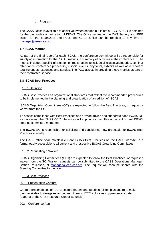o Program

The CASS Office is available to assist you when needed but is not a PCO. A PCO is obtained for the day-to-day organization of ISCAS. The Office serves as the CAS Society and IEEE liaison for the organizers and PCO. The CASS Office can be reached at any time at [manager@ieee-cas.org](mailto:manager@ieee-cas.org)

#### <span id="page-7-0"></span>**1.7 ISCAS Metrics**

As part of the final report for each ISCAS, the conference committee will be responsible for supplying information for the ISCAS metrics, a summary of activities at the conference. The metrics includes specific information on registrations to include all classes/categories, seminar attendance, conference proceedings, social events, any tours, exhibits as well as a report of total revenues, expenses and surplus. The PCO assists in providing these metrics as part of their contracted service.

#### <span id="page-7-1"></span>**1.8 ISCAS Best Practices**

#### <span id="page-7-2"></span>1.8.1 Definition

ISCAS Best Practices as organizational standards that reflect the recommended procedures to be implemented in the planning and organization of an edition of ISCAS.

ISCAS Organizing Committees (OC) are expected to follow the Best Practices, or request a waiver from the SC.

To assess compliance with Best Practices and provide advice and support to each ISCAS OC as necessary, the CASS VP Conferences will appoint a committee of current or past ISCAS steering committee members.

The ISCAS SC is responsible for soliciting and considering new proposals for ISCAS Best Practices annually.

The CASS office shall maintain current ISCAS Best Practices on the CASS website, in a format easily accessible to all current and prospective ISCAS Organizing Committees.

#### <span id="page-7-3"></span>1.8.2 Requesting a Waiver

ISCAS Organizing Committees (OCs) are expected to follow the Best Practices, or request a waiver from the SC. Waiver requests can be submitted to the CASS Operations Manager, Brittian Parkinson, at [manager@ieee-cas.org.](mailto:manager@ieee-cas.org) The request will then be shared with the Steering Committee for decision.

#### <span id="page-7-4"></span>1.8.3 Best Practices

#### 001 – Presentation Capture

Capture presentations of ISCAS lecture papers and tutorials (slides plus audio) to make them available to delegates and upload them to IEEE Xplore as supplementary data (papers) or the CAS Resource Center (tutorials).

#### 002 – Conference App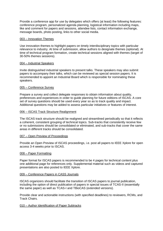Provide a conference app for use by delegates which offers (at least) the following features: conference program, personalized agenda planning, logistical information including maps, like and comment for papers and sessions, attendee lists, contact information exchange, message boards, photo posting, links to other social media.

#### 003 – Innovation Themes

Use innovation themes to highlight papers on timely interdisciplinary topics with particular relevance to industry. At time of submission, allow authors to designate themes (optional). At time of technical program formation, create technical sessions aligned with themes (target of 30-50% themes sessions).

#### 004 – Industrial Speakers

Invite distinguished industrial speakers to present talks. These speakers may also submit papers to accompany their talks, which can be reviewed as special session papers. It is recommended to appoint an Industrial Board which is responsible for nominating these speakers.

#### 005 – Conference Survey

Prepare a survey and collect delegate responses to obtain information about quality, preferences and experiences in order to guide planning for future editions of ISCAS. A core set of survey questions should be used every year so as to track quality and impact. Additional questions may be added to assess particular initiatives or features of interest.

#### 006 – ISCAS Track Structure Realignment

The ISCAS track structure should be realigned and streamlined periodically so that it reflects a coherent, consistent grouping of technical topics. Sub-tracks that consistently receive few or no submissions should be consolidated or eliminated, and sub-tracks that cover the same areas in different tracks should be consolidated.

#### 007 – Open Preview of Proceedings

Provide an Open Preview of ISCAS proceedings, i.e. post all papers to IEEE Xplore for open access 3-4 weeks prior to ISCAS.

#### 008 – Paper Formatting

Paper format for ISCAS papers is recommended to be 4 pages for technical content plus one additional page for references only. Supplemental material such as videos and captured presentations are also posted to IEEE Xplore.

#### 009 – Conference Papers in CASS Journals

ISCAS organizers should facilitate the transition of ISCAS papers to journal publication, including the option of direct publication of papers in special issues of TCAS-II (essentially the same paper) as well as TCAS-I and TBioCAS (extended versions).

Provide clear and actionable instructions (with specified deadlines) to reviewers, RCMs, and Track Chairs.

#### 010 – Author Identification of Paper Subtracks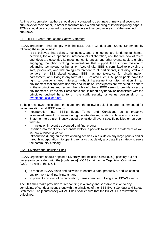At time of submission, authors should be encouraged to designate primary and secondary subtracks for their paper, in order to facilitate review and handling of interdisciplinary papers. RCMs should be encouraged to assign reviewers with expertise in each of the selected subtracks.

#### 011 – IEEE Event Conduct and Safety Statement

ISCAS organizers shall comply with the IEEE Event Conduct and Safety Statement, by following these guidelines:

IEEE believes that science, technology, and engineering are fundamental human activities, for which openness, international collaboration, and the free flow of talent and ideas are essential. Its meetings, conferences, and other events seek to enable engaging, thought-provoking conversations that support IEEE's core mission of advancing technology for humanity. Accordingly, IEEE is committed to providing a safe, productive, and welcoming environment to all participants, including staff and vendors, at IEEE-related events. IEEE has no tolerance for discrimination, harassment, or bullying in any form at IEEE-related events. All participants have the right to pursue shared interests without harassment or discrimination in an environment that supports diversity and inclusion. Participants are expected to adhere to these principles and respect the rights of others. IEEE seeks to provide a secure environment at its events. Participants should report any behavior inconsistent with the principles outlined here, to on site staff, security or venue personnel, or to [eventconduct@ieee.org.](mailto:eventconduct@ieee.org)

To help raise awareness about the statement, the following guidelines are recommended for implementation at all IEEE events:

- Incorporation into IEEE's Event Terms and Conditions as a proactive acknowledgement of consent during the attendee registration submission process
- Statement to be prominently placed alongside all event-specific policies on an event website
- Inclusion in event's advanced and final program
- Insertion into event attendee onsite welcome packets to include the statement as well as how to report a concern
- Introduction during an event's opening session via a slide on any large panels and/or through incorporation into opening remarks that clearly articulate the strategy to serve the community ethically

#### 012 – Diversity and Inclusion Chair

ISCAS Organizers should appoint a Diversity and Inclusion Chair (DIC), possibly but not necessarily coincident with the [conference] WiCAS chair, to the Organizing Committee (OC). The role of the DIC is:

- 1) to monitor ISCAS plans and activities to ensure a safe, productive, and welcoming environment to all participants; and
- 2) to prevent any form of discrimination, harassment, or bullying at all ISCAS events.

The DIC shall make provision for responding in a timely and sensitive fashion to any complaints of conduct inconsistent with the principles of the IEEE Event Conduct and Safety Statement. The [conference] WiCAS Chair shall ensure that the ISCAS OCs follow these guidelines.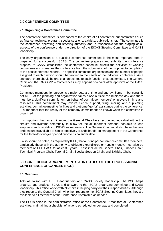#### <span id="page-10-0"></span>**2.0 CONFERENCE COMMITTEE**

#### <span id="page-10-1"></span>**2.1 Organizing a Conference Committee**

The conference committee is composed of the chairs of all conference subcommittees such as finance, technical program, special sessions, exhibits, publications, etc. The committee is the conference operating and steering authority and is responsible for the staging of all aspects of the conference under the direction of the ISCAS Steering Committee and CASS leadership.

The early organization of a qualified conference committee is the most important step in preparing for a successful ISCAS. The committee prepares and submits the conference proposal to CASS, establishes the conference schedule, directs the activities of working committees and manages the conference from the submission of the proposal to completion of the post conference reports. The specific committee organization and the number of people assigned to each function should be tailored to the needs of the individual conference. As a standard, there should be one chair appointed to each function or subcommittee. The General Chair and the CASS VP – Conferences may appoint co-chairs after approval of the CASS President.

Committee membership represents a major output of time and energy. Some — but certainly not all — of the planning and organization takes place outside the business day and there must be a significant commitment on behalf of committee members' employers in time and resources. This commitment may involve clerical support, filing, mailing and duplicating activities, committee meeting facilities and part-time "go-for" assistance during the conference. It is important that the reality of the company commitment be known when the committee is organized.

It is important that, as a minimum, the General Chair be a recognized individual within the circuits and systems community to allow for the all-important personal contacts to lend emphasis and credibility to ISCAS as necessary. The General Chair must also have the time and resources available to him to effectively provide hands-on management of the Conference for the three-to-four-year period prior to its calendar date.

It also should be noted, as required by IEEE, that all principal conference committee members, particularly those with the authority to obligate expenditures or handle money, must also be members of IEEE CASS for at least 3 years. These include the General Chair, Finance Chair, Technical Program Chair, Tutorial Chair, Special Session Chair, and Exhibits Chair.

#### <span id="page-10-2"></span>**3.0 CONFERENCE ARRANGEMENTS ADN DUTIES OF THE PROFESSIONAL CONFERENCE ORGANIZER (PCO)**

#### <span id="page-10-3"></span>**3.1 Overview**

Acts as liaison with IEEE Headquarters and CASS Society leadership. The PCO helps organize and produce ISCAS and answers to the ISCAS organizing committee and CASS leadership. This office works with all chairs in helping carry out their responsibilities. Although they report to the General Chair, who then reports to the ISCAS Steering Committee, they are available to all members of the Conference Committee as needed.

The PCO's office is the administrative office of the Conference. It monitors all Conference activities, maintaining a checklist of actions scheduled, under way and completed.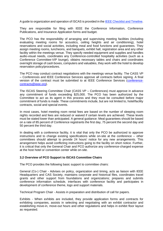A guide to organization and operation of ISCAS is provided in th[e IEEE Checklist and Timeline.](http://www.ieee.org/conferences_events/conferences/organizers/toolkit_conference_planning.html)

They are responsible for filing with IEEE the Conference Information, Conference Publications, and Insurance Application forms and budget.

The PCO has the responsibility of arranging and supervising meeting facilities (including evaluating meeting rooms for acoustics, ceiling heights and air conditioning), hotel reservations and social activities, including meal and food functions and guarantees. They assign meeting rooms, luncheons, and banquets, exhibit hall, registration area and any other facility within the meetings venue. They specify needed equipment and supplies and handles audio-visual needs, coordinates any Conference-controlled hospitality activities (such as a Conference Committee-VIP lounge), obtains necessary tables and chairs and coordinates overnight storage of cash boxes, computers and valuables, they work with the hotel to develop reservation policy/procedures.

The PCO may conduct contract negotiations with the meetings venue facility. The CASS VP – Conferences and IEEE Conference Services approve all contracts before signing. A final version of the contract must be submitted to at IEEE Conference Services [\(conference](mailto:conference-contracts@ieee.org)[contracts@ieee.org\)](mailto:conference-contracts@ieee.org).

The ISCAS Steering Committee Chair (CASS VP – Conferences) must approve in advance any commitment of funds exceeding \$25,000. The PCO has been authorized by the Committee to act as its agent in this process and they must be consulted before major commitment of funds is made. These commitments include, but are not limited to, hotel/facility contracts, social and special events.

In most cases, hotel meeting room rental fees are based on the number of sleeping room nights recorded and fees are reduced or waived if certain levels are achieved. These levels must be stated lower than anticipated. A general guidance: Meal guarantees should be based on a rate of 85 percent of Conference registrants the first day, 75 percent the second day and 50 percent the third day.

In dealing with a conference facility, it is vital that only the PCO be authorized to approve instructions and to change existing specifications while on-site at the conference -- other committees should attempt to provide 24 hours' notice for any new arrangements. This arrangement helps avoid conflicting instructions going to the facility on short notice. Further, it is critical that only the General Chair and PCO authorize any conference-charged expense at the host hotel or convention center while on-site.

#### <span id="page-11-0"></span>**3.2 Overview of PCO Support to ISCAS Committee Chairs**

The PCO provides the following basic support to committee chairs:

General (Co-) Chair - Advises on policy, organization and timing, acts as liaison with IEEE Headquarters and CAS Society, maintains corporate and historical files, coordinates travel grants and other support from foundations and organizations; prepares and submits conference information schedule, interfaces with conference facility and participates in development of conference theme, logo and support materials.

Technical Program Chair - Assists in preparation and distribution of call for papers.

Exhibits - When exhibits are included, they provide application forms and contracts for exhibiting companies, assists in selecting and negotiating with an exhibit contractor and establishing move-in, move-out hours and other regulations and helps in exhibit floor layout as requested.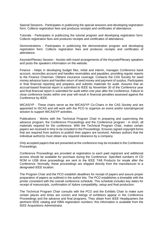Special Sessions - Participates in publicizing the special sessions and developing registration form. Collects registration fees and produces receipts and certificates of attendance.

Tutorials - Participates in publicizing the tutorial program and developing registration form. Collects registration fees and produces receipts and certificates of attendance.

Demonstrations - Participates in publicizing the demonstration program and developing registration form. Collects registration fees and produces receipts and certificates of attendance.

Keynote/Plenary Session - Assists with travel arrangements of the Keynote/Plenary speakers and posts the speakers information on the website.

Finance - Helps in developing budget files, initial and interim, manages Conference bank account, reconciles account and handles receivables and payables, providing regular reports to the Finance Chairman. Obtains insurance coverage. Contacts the CAS Society for seed money advance loans and handles return of seed money and payment of surplus. Participates in final financial reporting and prepares and submits materials for audit. Assures that an accrual-based financial report is submitted to IEEE by November 30 of the Conference year and final financial report is submitted for audit within one year after the Conference. Failure to close conference books within one year will result in financial penalties assessed against the Conference by IEEE.

WiCAS/YP - These chairs serve as the WiCAS/YP Co-Chairs in the CAS Society and are appointed to ISCAS and will work with the PCO to organize an event and/or tutorial/special session to support WiCAS/YP activities.

Publications - Works with the Technical Program Chair in preparing and supervising the advance program, the Conference Proceedings and the Conference program - in short, all materials required for the conference. With the Technical Program Chair, makes certain papers are received in time to be included in the Proceedings. Ensures signed copyright forms that are required from authors to publish their papers are received. Advises authors that the individual author(s) must obtain any required clearance by a company.

Only accepted papers that are presented at the conference may be included in the Conference Proceedings.

Conference Proceedings are provided at registration to each paid registrant and additional access should be available for purchase during the Conference. Specified numbers of CD ROM or USB drive proceedings are sent to the IEEE TAB Products for resale after the Conference. Normally, these proceedings are shipped directly from the manufacturer to a designated IEEE location.

The Program Chair and the PCO establish deadlines for receipt of papers and assure proper preparation of papers as outlined in the author kits. The PCO establishes a timetable with the printer consistent with the overall conference schedule. This schedule includes key dates for receipt of manuscripts, confirmation of Xplore compatibility, setup and final production.

The Technical Program Chair consults with the PCO and the Exhibits Chair to make sure certain places and times are correct and listings of exhibitors appear in the Conference Proceedings and the advance and final programs. They obtain from IEEE Headquarters the pertinent IEEE catalog and ISBN registration numbers: this information is available from the IEEE Acquisitions Administrator.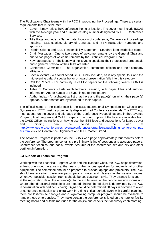The Publications Chair teams with the PCO in producing the Proceedings. There are certain requirements that must be met.

- Cover lt may reflect the Conference theme or location. The cover must include ISCAS with the two-digit year and a unique catalog number designated by IEEE Conference Services.
- Title Page and Index Name, date, location of conference, Conference Proceedings heading, IEEE catalog, Library of Congress and ISBN registration numbers and sponsors.
- Reprint Criteria and IEEE Responsibility Statement Standard item inside title page.
- Chair Messages One to two pages of welcome remarks by the General Chair and one to two pages of welcome remarks by the Technical Program Chair
- Keynote Speakers The identity of the keynote speakers, their professional credentials and a general preview of their talks are listed.
- Conference Committee The organization, committee officers and their company affiliations.
- Special events A tutorial schedule is usually included, as is any special tour and the mid-evening gala. A special honor or award presentation falls into this category.
- Call for Papers For continuity, a call for papers for the following year's ISCAS is included.
- Table of Contents Lists each technical session, with paper titles and authors' information. Author names are hyperlinked to their papers.
- Author Index An alphabetical list of authors and the page(s) on which their paper(s) appear. Author names are hyperlinked to their papers.

The official name of the conference is the IEEE International Symposium for Circuits and Systems and IEEE must be prominently displayed in all Conference materials. The IEEE logo must appear on the cover and title page of the Conference Proceedings, and in the Advance Program, final program and Call for Papers. Electronic copies of the logo are available from the CASS Office. Instructions on how to use the IEEE logo and suggestions for layout, cover and binding can be found on the web at [http://www.ieee.org/conferences\\_events/conferences/organizers/publishing\\_conference\\_pap](http://www.ieee.org/conferences_events/conferences/organizers/publishing_conference_papers.html) [ers.html](http://www.ieee.org/conferences_events/conferences/organizers/publishing_conference_papers.html) click on Conference Organizers and IEEE Master Brand.

The Advance Program is posted on the ISCAS web page approximately four months before the conference. The program contains a preliminary listing of sessions and accepted papers, Conference technical and social events, features of the conference site and city and other pertinent information.

#### <span id="page-13-0"></span>**3.3 Support of Technical Program**

Working with the Technical Program Chair and the Tutorials Chair, the PCO helps determine, at least one month in advance, the needs of the various speakers for audio-visual or other equipment. The committee should be prepared to provide laptops and projectors. The PCO should make certain there are pads, pencils, water and glasses in the session rooms. Whenever possible, session rooms should be set classroom style. They arrange for signs at the registration desk, the entrance(s) to the exhibit area, at the door to session rooms and where other directional indications are needed (the number of signs is determined by the PCO in consultation with pertinent chairs). Signs should be determined 30 days in advance to avoid at-conference confusion and extra work in a time-critical period. Even with careful planning, there are last-minute changes and a sign-making computer program should be available to handle these emergencies. They make certain the conference is listed on the hotel or facility meeting board and outside marquee for the day(s) and checks their accuracy each morning.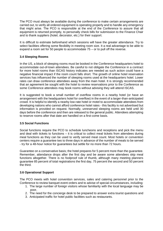The PCO must always be available during the conference to make certain arrangements are carried out, to verify all ordered equipment is operating properly and to handle any emergency that might arise. The PCO is responsible at the end of the Conference to assure that all equipment is returned promptly, to personally check bills for submission to the Finance Chair and to thank suppliers (hotel, decorator, etc.) for their support.

It is difficult to estimate beforehand which sessions will have the greater attendance. Try to select facilities offering some flexibility in meeting room size. It a real advantage to be able to expand a room set for 50 people to accommodate 75 – or to pull off the reverse.

#### <span id="page-14-0"></span>**3.4 Sleeping Rooms**

In the US, a block of sleeping rooms must be booked in the Conference headquarters hotel to accommodate out-of-town attendees. Be careful to not obligate the Conference in a contract for more hotel rooms than ISCAS history indicates are needed as such action could have a negative financial impact if the room count falls short. The growth of online hotel reservation services has influenced the number of sleeping rooms used at the headquarters hotel. Lower rates can draw conference attendees away from the main hotel. It is strongly recommended that an agreement be sought with the hotel to review reservations prior to the Conference as some Conference attendees may book rooms without advising they will attend ISCAS.

It is suggested to book a small number of overflow rooms in a nearby hotel (or have an arrangement with the headquarters hotel for overflow) in the event of a larger-than-anticipated crowd. It is helpful to identify a nearby low-rate hotel or motel to accommodate attendees from developing nations who cannot afford conference hotel rates - this facility is not advertised but information is provided on request. Normally, unreserved sleeping rooms are held until 30 days before the conference and then are released to the general public. Attendees attempting to reserve rooms after that date are handled on a first-come basis.

#### <span id="page-14-1"></span>**3.5 Social Functions**

Social functions require the PCO to schedule luncheons and receptions and pick the menu and deal with tickets to functions – it is critical to collect meal tickets from attendees during meal functions as they can be used to verify served meal count. Most hotels or convention centers require a guarantee two to three days in advance of the number of meals to be served - try for a 48-hour notice for guarantees but settle for no more than 72 hours.

Guarantee on a conservative basis; the hotel prepares for 5 percent more than the guarantee. Remember, attendance drops after the first day and be aware some attendees skip meal functions altogether. There is no foolproof rule of thumb, although many meeting planners guarantee 85 percent of total registrations the first day, 75 percent the second and 50 percent the third.

#### <span id="page-14-2"></span>**3.6 Operational Support**

The PCO meets with hotel convention services, sales and catering personnel prior to the Conference to review banquet event orders and to advise of special circumstances, including:

- 1. The large number of foreign visitors whose familiarity with the local language may be poor,
- 2. The need for the concierge desk to be prepared to answer extra tourist questions and
- 3. Anticipated traffic for hotel public facilities such as restaurants.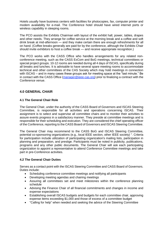Hotels usually have business centers with facilities for photocopies, fax, computer printer and modem availability for e-mail. The Conference hotel should have wired internet ports or wireless capability in sleeping rooms.

The PCO assists the Exhibits Chairman with layout of the exhibit hall, power, tables, drapes and other needs. They arrange for coffee service at the morning break and a coffee and soft drink break at mid-afternoon — and they make certain there are enough refreshments for all on hand. (Coffee breaks generally are paid for by the conference, although the Exhibits Chair should invite exhibitors to host a coffee break — and receive appropriate recognition.)

The PCO works with the CASS Office who handles arrangements for any related nonconference meeting, such as the CASS ExCom and BoG meetings, technical committees or special project groups. 10-12 rooms are needed during all 4 days of ISCAS, specifically during all breaks and lunches. It is advisable to have several spare meeting rooms to accommodate technical and other committees of the CAS Society which may hold meetings in connection with ISCAS – and in many cases these groups ask for meeting space at the "last minute." Be in contact with the CASS Office [\(manager@ieee-cas.org\)](mailto:manager@ieee-cas.org) prior to finalizing a contract with the Conference venue.

#### <span id="page-15-0"></span>**4.0 GENERAL CHAIR**

#### <span id="page-15-1"></span>**4.1 The General Chair Role**

The General Chair, under the authority of the CASS Board of Governors and ISCAS Steering Committee, is responsible for all activities and operations concerning ISCAS. Their assignment is to select and supervise all committee chairs and to monitor their activities to assure events progress in a satisfactory manner. They preside at committee meetings and is responsible for their scheduling and execution. They are considered the chief operating officer of the Conference, reporting to the CASS Board of Governors and ISCAS Steering Committee.

The General Chair may recommend to the CASS BoG and ISCAS Steering Committee, potential co-sponsoring organizations (e.g., local IEEE section, other IEEE society) ". Criteria for participation include utilization of participating organization's mailing lists, participation in planning and preparation, and prestige. Participants must be noted in publicity, publications, programs and any other public documents. The General Chair will ask each participating organization to appoint a representative to attend Conference Committee meetings and take part in pre-Conference activities.

#### <span id="page-15-2"></span>**4.2 The General Chair Duties**

Serves as a contact point with the ISCAS Steering Committee and CASS Board of Governors. Duties include:

- Scheduling conference committee meetings and notifying all participants
- Developing meeting agendas and chairing meetings
- Assuring all committees set and meet milestones within the conference planning schedule
- Advising the Finance Chair of all financial commitments and changes in income and expense expectations
- Establishing overall ISCAS budgets and budgets for each committee chair, approving expense items exceeding \$1,000 and those of excess of a committee budget
- "Calling for help" when needed and seeking the advice of the Steering Committee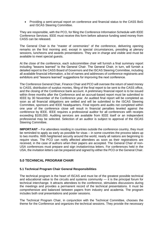• Providing a semi-annual report on conference and financial status to the CASS BoG and ISCAS Steering Committee.

They are responsible, with the PCO, for filing the Conference Information Schedule with IEEE Conference Services. IEEE must receive this form before advance funding seed money from CASS can be released.

The General Chair is the "master of ceremonies" of the conference, delivering opening remarks on the first morning and, except in special circumstances, presiding at plenary sessions, luncheons and awards presentations. They are in charge and visible and must be available to meet special guests.

At the close of the conference, each subcommittee chair will furnish a final summary report including "lessons learned" to the General Chair. The General Chair, in turn, will furnish a detailed report to the CASS Board of Governors and the ISCAS Steering Committee, including all available financial information, a list of names and addresses of conference registrants and exhibitors and "lessons learned" suggestions for improving the next conference.

The Conference General Chair, Finance Chair and PCO will oversee the return of seed money to CASS, distribution of surplus monies, filing of the final report to be sent to the CASS office, and the closing of the Conference bank account. A preliminary financial report is to be issued within three months after the Conference and an accrual-based report must be submitted to IEEE by 30 November of the Conference year. An audited final report will be completed as soon as all financial obligations are settled and will be submitted to the ISCAS Steering Committee, sponsors and IEEE headquarters. Final reports and audits not completed within one year of the conference close will result in financial penalties leveled against the conference by IEEE. IEEE requires a professional auditor for all conferences with receipts exceeding \$100,000. Auditing services are available from IEEE itself or an independent professional may be selected. Selection of an auditor is subject to approval of the ISCAS Steering Committee.

**IMPORTANT** – For attendees residing in countries outside the conference country, they must be reminded to apply as early as possible for visas – in some countries the process takes up to two months. With heightened security around the world, nearly all nations are beginning to require visas. The PCO can notify affected attendees as soon as their registrations are received, in the case of authors when their papers are accepted. The General Chair of non-USA conferences must prepare and sign invitation/visa letters. For conferences held in the USA, the invitation letters can be prepared and signed by either the PCO or the General Chair.

#### <span id="page-16-0"></span>**5.0 TECHNICAL PROGRAM CHAIR**

#### <span id="page-16-1"></span>**5.1 Technical Program Chair General Responsibilities**

The technical program is the heart of ISCAS and must be of the greatest possible technical and educational value to the circuits and systems community — it is the principal forum for technical interchange. It attracts attendees to the conference, stimulates discussions during the meetings and provides a permanent record of the technical presentations. It must be comprehensive and balanced between papers from industry and academia. The program includes both oral presentations and poster sessions.

The Technical Program Chair, in conjunction with the Technical Committee, chooses the theme for the Conference and organizes the technical sessions. They provide the necessary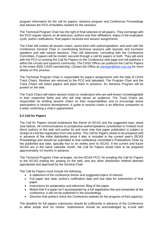program information for the call for papers, advance program and Conference Proceedings and advises the PCO of facilities needed for the sessions.

The Technical Program Chair has the right of final selection of all papers. They exchange with the PCO regular reports on all abstracts, authors and their affiliations, status in the evaluation cycle, author notifications, final papers received and session assignments.

The Chair will contact all session chairs, assist them with author/speakers, and work with the Conference General Chair in coordinating technical sessions with keynote and luncheon speakers and with tutorial sessions. They will determine, consulting with the Conference Committee, if papers will be invited, secured through a call for papers or both. They will work with the PCO on posting the Call for Papers on the Conference web page and will publicize it within the circuits and systems community. The CASS Office can publicize the Call for Papers to the entire IEEE CASS membership, Contact the Office at [manager@ieee-cas.org](mailto:manager@ieee-cas.org) for more details on this process.

The Technical Program Chair is responsible for papers assignments with the help of CASS Track Chairs. Reviews are returned to the PCO and tabulated. The Program Chair and the Track Chairs will select papers and place them in sessions. An Advance Program will be posted on the web.

The Track Chairs will select session chairs or moderators who are well known, knowledgeable in their respective fields and who will help attract an audience. The Track Chairs are responsible for briefing session chairs on their responsibilities and to encourage active participation in session development. A guide to session chairs is an effective companion to a letter confirming a chair's appointment.

#### <span id="page-17-0"></span>**5.2 Call for Papers**

The Call for Papers should emphasize the theme of ISCAS and the suggested topic areas (see below). All communications to prospective author/speakers (unsolicited or invited) must direct authors to the web and author kit and must note that paper publication is subject to receipt of a full fee registration from one author. The Call for Papers needs to be prepared well in advance of the initial distribution since it also is included in the current year's ISCAS Proceedings and should be submitted to that conference committee's Publications Chair by the published due date, typically four to six weeks prior to ISCAS. If the current and future ISCAS are in the same calendar month, the Call for Papers would have to be prepared approximately 14 months in advance.

The Technical Program Chair arranges, via the ISCAS PCO, for emailing the Call for Papers to the ISCAS mailing list, posting on the web, and any other distribution method deemed appropriate and approved by the General Chair.

The Call for Papers must include the following:

- A statement of the conference theme and suggested topics of interest.
- Full paper due date, author's notification date and due date for submission of final paper.
- Instructions for preparation and electronic filing of the paper.
- Notice that if a paper isn't accompanied by a full registration fee and presented at the conference, it will not be published in the proceedings.
- Direction that authors check the Conference website for the progress of their paper(s).

The deadline for full papers submission should be sufficiently in advance of the Conference to allow ample time for review. Submissions should be acknowledged by e-mail with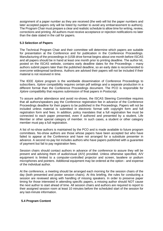assignment of a paper number as they are received (the web will list the paper numbers and later accepted papers only will be listed by number to avoid any embarrassment to authors). The Program Chair must prepare a clear and realistic schedule to allow time for writing, review, corrections and printing. All authors must receive acceptance or rejection notifications no later than the date stated in the call for papers.

#### <span id="page-18-0"></span>**5.3 Selection of Papers**

The Technical Program Chair and their committee will determine which papers are suitable for presentation at the Conference and for publication in the Conference Proceedings. Manufacturing of the proceedings in (USB drive format begins about one month before ISCAS and all papers should be in hand at least one month prior to printing deadline. The author kit, posted on the ISCAS website, contains early deadline dates for the Proceedings – many authors submit papers later than the published deadline, so an early date is recommended to overcome widespread tardiness. Authors are advised their papers will not be included if their material is not received in time.

The IEEE *Xplore* program is the worldwide dissemination of Conference Proceedings to subscribers. *Xplore* compatibility requires certain pdf settings and a separate production in a different format than the Conference Proceedings document. The PCO is responsible for *Xplore* compatibility that requires submission of final papers in Postscript.

To assure author attendance and avoid no-shows, the ISCAS Steering Committee requires that all authors/speakers pay the Conference registration fee in advance of the Conference Proceedings deadline for their papers to be published in the Proceedings. Papers will not be included unless material is submitted in electronic format with copyright form and full registration form and fees. In addition, policy mandates that a full registration fee must be connected to each paper presented, even if authored and presented by a student, Life Member or other special category of member. In such cases, a student or other category member must pay a full registration.

A list of no-show authors is maintained by the PCO and is made available to future program committees. No-show authors are those whose papers have been accepted but who have failed to appear at the Conference and have not arranged for a substitute presenter in advance. A second no-pay list includes authors who have papers published with a guarantee of payment but fail to pay registration fees.

Session chairs should contact authors in advance of the conference to assure they will be present and advising them of audio/visual (A/V) provided. Unless otherwise specified, A/V equipment is limited to a computer-controlled projector and screen, lavaliere or podium microphones and pointers. Additional equipment may be ordered at the option - and expense of the individual author.

At the conference, a meeting should be arranged each morning for the session chairs of the day (both presented and poster session chairs). At this briefing, the rules for conducting a session are reviewed along with handling of missing speakers. In order to preserve paper timing for those interested in attending specific papers, a missing author should NOT cause the next author to start ahead of time. All session chairs and authors are required to report to their assigned session room at least 10 minutes before the scheduled start of the session for any last-minute information.

#### <span id="page-18-1"></span>**5.4 Program Content**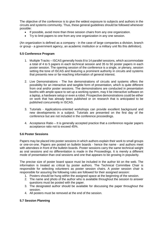The objective of the conference is to give the widest exposure to subjects and authors in the circuits and systems community. Thus, these general guidelines should be followed whenever possible:

- If possible, avoid more than three session chairs from any one organization.
- Try to limit papers to one from any one organization in any one session.

(An organization is defined as a company - in the case of large companies a division, branch or group - a government agency, an academic institution or a military unit fits this definition).

#### <span id="page-19-0"></span>**5.5 Conference Program**

- 1. Multiple Tracks ISCAS generally hosts 8 to 14 parallel sessions, which accommodate a total of 4 to 5 papers in each technical session and 35 to 50 poster papers in each poster session. The opening session of the conference is a single, or plenary, session setting the tone of ISCAS and featuring a prominent authority in circuits and systems that presents new or far-reaching information of general interest.
- 2. Live Demonstrations The live demonstrations of circuits and systems offers the possibility for an interactive and tangible form of presentation, which is quite different from oral and/or poster sessions. The demonstrations are conducted in presentation booths with ample space to set up a working system, may it be interactive software on a laptop, a hardware setup or even a robot. Prospective demonstrations could be either on work that has already been published or on research that is anticipated to be published concurrently in ISCAS.
- 3. Tutorials Applications-oriented workshops can provide excellent background and new developments in a subject. Tutorials are presented on the first day of the conference but are not included in the conference proceedings.
- 4. Acceptance Ratio It is generally accepted practice that a conference regular papers acceptance ratio not to exceed 45%.

#### <span id="page-19-1"></span>**5.6 Poster Sessions**

Papers may be placed into poster sessions in which authors explain their work to small groups or one-on-one. Papers are posted on bulletin boards - hence the name - and authors meet with attendees in front of the bulletin boards. Poster sessions carry the same technical weight as oral sessions and no differentiation is made in the Proceedings. It is merely a different mode of presentation than oral sessions and one that appears to be growing in popularity.

The precise size of poster board space must be included in the author kit on the web. The information is treated as critical by poster authors. The Technical Committee Chair is responsible for selecting volunteers as poster session chairs. A poster session chair is responsible for assuring the following rules are followed for their assigned session:

- 1. Posters should be hung within the assigned space at the beginning of the session.
- 2. The name and photo of the author who is available throughout the session to answer questions must be posted with the paper.
- 3. The designated author should be available for discussing the paper throughout the session.
- 4. All posters must be removed at the end of the session.

#### <span id="page-19-2"></span>**5.7 Session Planning**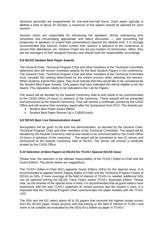Sessions generally are programmed for one-and-one-half hours. Each paper typically is allotted a total of about 20 minutes; a maximum of five papers should be planned for each session.

Session chairs are responsible for introducing the speakers, strictly maintaining time schedules and encouraging appropriate and select discussion — and preventing the propensity of speakers to extend their presentations beyond the allotted time. It is strongly recommended that Session Chairs contact their authors in advance of the conference to assure their attendance, etc. Session Chairs are not just masters of ceremonies; rather, they are the managers of their assigned Session and should treat the responsibility accordingly.

#### <span id="page-20-0"></span>**5.8 ISCAS Student Best Paper Awards**

The General Chair, Technical Program Chair and other members of the Technical Committee determine who will receive monetary awards for the Best Student Papers in the conference. The General Chair, Technical Program Chair and other members of the Technical Committee must consider the ranking determined by the review process when selecting the winners. When students submit their paper, they must indicate that they would like to be considered for the Student Best Paper Awards. Only papers that have indicated this will be eligible to win the Award. This stipulation needs to be indicated in the Call for Papers.

The award will be decided by the Awards Ceremony held at and needs to be communicated to the CASS Office 24-hours in advance of the ceremony. These awards will be presented and announced at the Awards Ceremony. They will receive a certificate, printed by the CASS Office and will receive their monetary award after the Symposium from PCO. The Awards are:

- Student Best Paper Award (\$500)
- Student Best Paper Runner-Up x 2 (\$500 each)

#### <span id="page-20-1"></span>**5.9 ISCAS Best Live Demonstration Award**

Recognition will be given to the best live demonstration, as decided by the General Chair, Technical Program Chair and other members of the Technical Committee. The award will be decided by the Awards Ceremony held at and needs to be communicated to the CASS Office 24-hours in advance of the ceremony. The award will be presented to one (1) winner and announced at the Awards Ceremony held at ISCAS. The winner will receive a certificate printed by the CASS Office.

#### <span id="page-20-2"></span>**5.10 Selection of Best Papers at ISCAS for TCAS-I Special ISCAS Issue**

Please note, the selection is the ultimate responsibility of the TCAS-I Editor-in-Chief and the Guest Editors. The points below are suggestions.

The TCAS-I Editor-in-Chief (EiC) appoints Guest Editors (GEs) for the Special Issue. It is recommended to appoint his/her Deputy Editor-in-Chief and the Technical Program Chairs of ISCAS as GEs. If more coverage of the field of interest of TCAS-I is needed, additional GEs can be selected among the ISCAS Track Chairs and/or TCAS-I Associate Editors. Please note, as the timeline of the special issue is fixed, it is recommended that all guest editors have experience with the way TCAS-I organizes its review process and the system it uses. It is important that the Technical Program Chair communicates the paper reviews with the TCAS-I EiC.

The GEs and the EiC select about 40 to 50 papers that received the highest review scores from the ISCAS paper review process and that belong to the field of interest of TCAS-I and seem to be suitable (as evaluated by the GEs) for a follow-up paper in TCAS-I.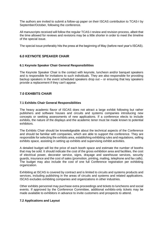The authors are invited to submit a follow-up paper on their ISCAS contribution to TCAS-I by September/October, following the conference.

All manuscripts received will follow the regular TCAS-I review and revision process, albeit that the time allowed for reviews and revisions may be a little shorter in order to meet the timeline of the special issue.

The special issue preferably hits the press at the beginning of May (before next year's ISCAS).

#### <span id="page-21-0"></span>**6.0 KEYNOTE SPEAKER CHAIR**

#### <span id="page-21-1"></span>**6.1 Keynote Speaker Chair General Responsibilities**

The Keynote Speaker Chair is the contact with keynote, luncheon and/or banquet speakers and is responsible for invitations to such individuals. They are also responsible for providing backup speakers in the event scheduled speakers drop out – or ensuring that key speakers provide a replacement if they can't appear.

#### <span id="page-21-2"></span>**7.0 EXHIBITS CHAIR**

#### <span id="page-21-3"></span>**7.1 Exhibits Chair General Responsibilities**

The heavy academic flavor of ISCAS does not attract a large exhibit following but rather publishers and software houses and circuits and systems companies introducing new concepts or seeking assessments of new applications. If a conference elects to include exhibits, the nature of the displays and the academic tenor must be made known to potential exhibitors.

The Exhibits Chair should be knowledgeable about the technical aspects of the Conference and should be familiar with companies, which are able to support the conference. They are responsible for selecting the exhibits area, establishing exhibiting rules and regulations, selling exhibits space, assisting in setting up exhibits and supervising exhibit activities.

A detailed budget will list the price of each booth space and estimate the number of booths that may be sold. It should indicate the cost of the gross exhibition area and facilities, the cost of electrical power, decorator service, signs, drayage and warehouse services, security guards, insurance and the cost of sales (promotion, printing, mailing, telephone and fax calls). The budget may also include the cost of one full Conference registration per exhibiting organization.

Exhibiting at ISCAS is covered by contract and is limited to circuits and systems products and services, including publishing in the areas of circuits and systems and related applications. ISCAS excludes exhibiting companies and organizations in other industries.

Other exhibits personnel may purchase extra proceedings and tickets to luncheons and social events. If approved by the Conference Committee, additional exhibits-only tickets may be made available to exhibitors in advance to invite customers and prospects to attend.

#### <span id="page-21-4"></span>**7.2 Applications and Layout**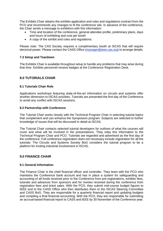The Exhibits Chair obtains the exhibits application and rules and regulations contract from the PCO and recommends any changes to fit the conference site. In advance of the conference, the Chair sends a message to exhibitors with this information:

- Time and location of the conference, general attendee profile, preliminary plans, days and hours of exhibiting and cost per booth
- A copy of the exhibit and rules and regulations.

Please note: The CAS Society requires a complimentary booth at ISCAS that will require electrical power. Please contact the CASS Office [\(manager@ieee-cas.org\)](mailto:manager@ieee-cas.org) to arrange details.

#### <span id="page-22-0"></span>**7.3 Setup and Teardown**

The Exhibits Chair is available throughout setup to handle any problems that may arise during that time. Exhibits personnel receive badges at the Conference Registration Desk.

#### <span id="page-22-1"></span>**8.0 TUTORIALS CHAIR**

#### <span id="page-22-2"></span>**8.1 Tutorials Chair Role**

Applications workshops featuring state-of-the-art information on circuits and systems offer another dimension to ISCAS activities. Tutorials are presented the first day of the Conference to avoid any conflict with ISCAS sessions.

#### <span id="page-22-3"></span>**8.2 Partnership with Conference**

The Tutorial Chair works closely with the Technical Program Chair in selecting tutorial topics that complement and can enhance the Symposium program. Subjects are selected to further knowledge of issues that will be discussed in detail at ISCAS.

The Tutorial Chair contacts selected tutorial developers for outlines of what the courses will cover and what will be involved in the presentations. They relay this information to the Technical Program Chair and PCO. Tutorials are regarded and advertised as the first day of the conference. Full conference registration does not necessary include registration for all the tutorials. The Circuits and Systems Society BoG considers the tutorial program to be a platform for inviting industrial involvement in ISCAS.

#### <span id="page-22-4"></span>**9.0 FINANCE CHAIR**

#### <span id="page-22-5"></span>**9.1 General Information**

The Finance Chair is the chief financial officer and controller. They team with the PCO who maintains the Conference bank account and has in place a system for safeguarding and accounting of all funds received prior to the Conference from pre-registrations, exhibits fees, tutorials and advances from sponsors and for monies received during the conference from registration fees and ticket sales. With the PCO, they submit mid-course budget figures to IEEE and to the CASS Office who then distributes them to the ISCAS Steering Committee and CASS BoG. They are responsible for a quarterly financial report and updating budgets and compiling a final financial accounting. With the PCO, they are responsible for submitting an accrual-based financial report to CASS and IEEE by 30 November of the Conference year.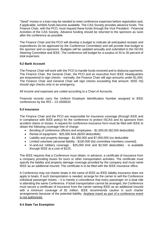"Seed" money or a loan may be needed to meet conference expenses before registration and, if applicable, exhibits funds become available. The CAS Society provides advance funds. The Finance Chair, with the PCO, must request these funds through the Vice President - Financial Activities of the CAS Society. Advance funding should be returned to the sponsors as soon after the conference as possible.

The Finance Chair and the PCO will develop a budget to indicate all anticipated receipts and expenditures (to be approved by the Conference Committee) and will provide that budget to the sponsor and co-sponsors. Budgets will be updated annually and submitted to the ISCAS Steering Committee and IEEE. The conference will budget for a surplus of 20 to 35 percent of total expenses.

#### <span id="page-23-0"></span>**9.2 Bank Account**

The Finance Chair will work with the PCO to handle funds received and to disburse payments. The Finance Chair, the General Chair, the PCO and an executive from IEEE Headquarters are empowered to sign checks - normally, the Finance Chair will sign amounts under \$1,000. The Finance Chair and General Chair will sign checks exceeding that amount. IEEE HQ should sign checks only in an emergency.

All income and expenses are coded according to a Chart of Accounts.

Financial records carry the Uniform Employer Identification Number assigned to IEEE conferences by the IRS – 13-1656633.

#### <span id="page-23-1"></span>**9.3 Insurance**

The Finance Chair and the PCO are responsible for insurance coverage (through IEEE and in compliance with IEEE policy) for the conference to protect ISCAS and its sponsors from accident claims or losses. A request for conference insurance form must be filed with IEEE to obtain the following coverage free of charge:

- Bonding of conference officers and employees \$1,000,00 (\$2,500 deductible)
- Rental of equipment \$25,000 limit (\$250 deductible)
- Liability and property damage \$1,000,000 and \$7,000,000 (no deductible
- Limited volunteer personal liability \$100,000 (list committee members covered)
- In-and-out robbery coverage \$25,000 limit and \$2,500 deductible) is available through IEEE at a cost of \$125.

The IEEE requires that a Conference must obtain, in advance, a certificate of insurance from a company providing buses for tours or other transportation activities. The certificate must specify the liability and property damage coverage provided by the company and must name IEEE as an additional insured. The certificate is to be filed with the IEEE insurance office.

A Conference may not charter boats in the name of IEEE as IEEE liability insurance does not apply to boats. If such transportation is needed, arrange for the carrier to sell the Conference individual passenger tickets – it is merely a coincidence that every passenger on a boat ride is attending the same Conference. If ticket transportation cannot be arranged, the Conference must secure a certificate of insurance from the carrier naming IEEE as an additional insured with a minimum coverage of \$1 million. IEEE recommends caution in such charter arrangements because of the potential liability. Airplane travel as part of a conference event is not authorized.

#### <span id="page-23-2"></span>**9.4 State Tax Exemption**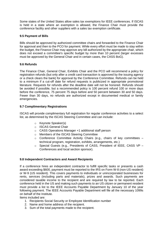Some states of the United States allow sales tax exemptions for IEEE conferences. If ISCAS is held in a state where an exemption is allowed, the Finance Chair must provide the conference facility and other suppliers with a sales tax exemption certificate.

#### <span id="page-24-0"></span>**9.5 Payment of Bills**

Bills should be approved by authorized committee chairs and forwarded to the Finance Chair for approval and then to the PCO for payment. While every effort must be made to stay within the budget, the Finance Chair may approve any bill authorized by the appropriate chair, which does not exceed a committee's specific budget by more than 10 percent (larger excesses must be approved by the General Chair and in certain cases, the CASS BoG).

#### <span id="page-24-1"></span>**9.6 Refunds**

The Finance Chair, General Chair, Exhibits Chair and the PCO will recommend a policy for registration refunds (but only after a credit card transaction is approved by the issuing agency or a check clears the bank) for approval by the Conference Committee. Refunds can be held to a minimum if a cut-off date for refund requests is publicized in appropriate promotional literature. Requests for refunds after the deadline date will not be honored. Refunds should be avoided if possible, but a recommended policy is 100 percent refund 100 or more days before the conference, 75 percent 75 days before and 50 percent between 30 and 50 days. Fewer than 30 days, no refunds are authorized except in documented medical or family emergencies.

#### <span id="page-24-2"></span>**9.7 Complimentary Registrations**

ISCAS will provide complimentary full registration for regular conference activities to a select list, as determined by the ISCAS Steering Committee and can include:

- o Keynote Speaker(s)
- o ISCAS General Chair
- o CASS Operations Manager +1 additional staff person
- o Members of the ISCAS Steering Committee
- o Conference Committee Activity Chairs (e.g., chairs of key committees technical program, registration, exhibits, arrangements, etc.)
- o Special Guests (e.g., Presidents of CASS, President of IEEE, CASS VP Conferences and local section sponsor).

#### <span id="page-24-3"></span>**9.8 Independent Contractors and Award Recipients**

If a conference hires an independent contractor to fulfill specific tasks or presents a cash award exceeding \$600, payment must be reported to the IRS on Form W-8 (non-US resident) or W-9 (US resident). This covers payments to individuals or unincorporated businesses for rents, services (including parts and materials), prizes and awards. Such payments are considered taxable income to the recipient and are required by law to be reported. Each conference held in the US and making such payments to an US citizen or permanent resident must provide a list to the IEEE Accounts Payable Department by January 10 of the year following payment. The IEEE Accounts Payable Department will file all the necessary 1099s on behalf of the Institute.

Items included are:

- 1. Recipients Social Security or Employee Identification number
- 2. Name and home address of the recipient.
- 3. Sum of the total payments made to the recipient.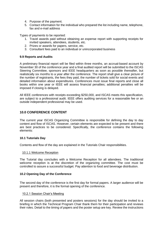- 4. Purpose of the payment.
- 5. Contact information for the individual who prepared the list including name, telephone, fax and e-mail address

Types of payments to be reported:

- 1. Travel awards paid without obtaining an expense report with supporting receipts for invited speakers, attendees, students, etc.
- 2. Prizes or awards for papers, service, etc.
- 3. Consultant fees paid to an individual or unincorporated business

#### <span id="page-25-0"></span>**9.9 Reports and Audits**

A preliminary financial report will be filed within three months, an accrual-based account by November 30 of the conference year and a final audited report will be submitted to the ISCAS Steering Committee, sponsors and IEEE headquarters as soon as possible thereafter, but realistically six months to a year after the conference. The report shall give a clear picture of the number of registrants, the fees they paid, the number of tickets sold for social events and detailed information about expenditures. Conferences must issue final reports and close all books within one year or IEEE will assess financial penalties; additional penalties will be imposed if closing is delayed.

All IEEE conferences with receipts exceeding \$250,000, and ISCAS meets this specification, are subject to a professional audit. IEEE offers auditing services for a reasonable fee or an outside independent professional may be used.

#### <span id="page-25-1"></span>**10.0 CONFERENCE CONTENT**

The current year ISCAS Organizing Committee is responsible for defining the day to day content and flow of ISCAS. However, certain elements are expected to be present and there are best practices to be considered. Specifically, the conference contains the following elements:

#### <span id="page-25-2"></span>**10.1 Tutorials Day**

Contents and flow of the day are explained in the Tutorials Chair responsibilities.

#### <span id="page-25-3"></span>10.1.1 Welcome Reception

The Tutorial day concludes with a Welcome Reception for all attendees. The traditional welcome reception is at the discretion of the organizing committee. The cost must be controlled to assure a successful budget. Pay attention to food and beverage distribution.

#### <span id="page-25-4"></span>**10.2 Opening Day of the Conference**

The second day of the conference is the first day for formal papers. A larger audience will be present and therefore, it is the formal opening of the conference.

#### <span id="page-25-5"></span>10.2.1 Session Chair's Meeting

All session chairs (both presented and posters sessions) for the day should be invited to a briefing in which the Technical Program Chair thank them for their participation and reviews their roles. Detail to the timing of papers and the poster setup are key. Review the instructions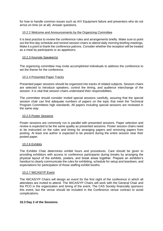for how to handle common issues such as A/V Equipment failure and presenters who do not arrive on time (or at all). Answer questions.

#### <span id="page-26-0"></span>10.2.2 Welcome and Announcements by the Organizing Committee

It is best practice to review the conference rules and arrangements briefly. Make sure to point out the first day schedule and remind session chairs to attend daily morning briefing meetings. Make it a point to thank the conference patrons. Consider whether the reception will be treated as a meal by participants or as appetizers.

#### <span id="page-26-1"></span>10.2.3 Keynote Speaker(s)

The organizing committee may invite accomplished individuals to address the conference to set the theme for the conference.

#### <span id="page-26-2"></span>10.2.4 Presented Paper Tracks

Presented paper sessions should be organized into tracks of related subjects. Session chairs are selected to introduce speakers, control the timing, and audience interchange of the session. It is vital that session chairs understand their responsibilities.

The committee should consider invited special sessions carefully, assuring that the special session chair can find adequate numbers of papers on the topic that meet the Technical Program Committees high standards. All papers including special sessions are reviewed in the same way.

#### <span id="page-26-3"></span>10.2.5 Poster Sessions

Poster sessions are commonly run in parallel with presented sessions. Paper selection and review is expected to be the same quality as presented sessions. Poster session chairs need to be instructed on the rules and timing for arranging papers and removing papers from posting. At least one author is expected to be present during the entire session near their posted paper.

#### <span id="page-26-4"></span>10.2.6 Exhibits

The Exhibits Chair determines exhibit hours and procedures. Care should be given to providing exhibitors with access to conference participants during breaks by arranging the physical layout of the exhibits, posters, and break areas together. Prepare an exhibitor's handout to clearly communicate the rules for exhibiting, schedule for setup and teardown, and expectations for participation of those staffing exhibit booths.

#### <span id="page-26-5"></span>10.2.7 WiCAS/YP Event

The WiCAS/YP Chairs will design an event for the first night of the conference in which all attendees are invited to attend. The WiCAS/YP Chairs will work with the General Chair and the PCO in the organization and timing of the event. The CAS Society financially sponsors this event, but the venue should be included in the Conference venue contract to avoid complications.

#### <span id="page-26-6"></span>**10.3 Day 2 of the Sessions**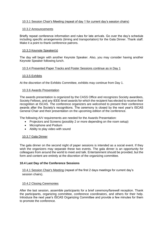#### <span id="page-27-0"></span>10.3.1 Session Chair's Meeting (repeat of day 1 for current day's session chairs)

#### <span id="page-27-1"></span>10.3.2 Announcements

Briefly repeat conference information and rules for late arrivals. Go over the day's schedule including specific arrangements (timing and transportation) for the Gala Dinner. Thank staff. Make it a point to thank conference patrons.

#### <span id="page-27-2"></span>10.3.3 Keynote Speaker(s)

The day will begin with another Keynote Speaker. Also, you may consider having another Keynote Speaker following lunch.

#### <span id="page-27-3"></span>10.3.4 Presented Paper Tracks and Poster Sessions continue as in Day 1

#### <span id="page-27-4"></span>10.3.5 Exhibits

At the discretion of the Exhibits Committee, exhibits may continue from Day 1.

#### <span id="page-27-5"></span>10.3.6 Awards Presentation

The awards presentation is organized by the CASS Office and recognizes Society awardees, Society Fellows, and any IEEE-level awards for which the recipient has elected to receive their recognition at ISCAS. The conference organizers are welcomed to present their conference awards after the Society's recognitions. The ceremony is closed by the next year's ISCAS General Chair and their presentation on the upcoming edition of the conference.

The following A/V requirements are needed for the Awards Presentation:

- Projectors and Screens (possibly 2 or more depending on the room setup)
- Microphone and Podium
- Ability to play video with sound

#### <span id="page-27-6"></span>10.3.7 Gala Dinner

The gala dinner on the second night of paper sessions is intended as a social event. If they wish the organizers may separate these two events. The gala dinner is an opportunity for colleagues from around the world to meet and talk. Entertainment should be provided, but the form and content are entirely at the discretion of the organizing committee.

#### <span id="page-27-7"></span>**10.4 Last Day of the Conference Sessions**

<span id="page-27-8"></span>10.4.1 Session Chair's Meeting (repeat of the first 2 days meetings for current day's session chairs).

#### <span id="page-27-9"></span>10.4.2 Closing Ceremonies

After the last session, assemble participants for a brief ceremony/farewell reception. Thank the participants, organizing committee, conference coordinators, and others for their help. Introduce the next year's ISCAS Organizing Committee and provide a few minutes for them to promote the conference.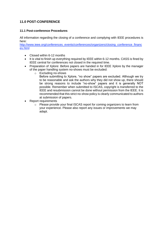### <span id="page-28-0"></span>**11.0 POST-CONFERENCE**

#### <span id="page-28-1"></span>**11.1 Post-conference Procedures**

All information regarding the closing of a conference and complying with IEEE procedures is here:

[http://www.ieee.org/conferences\\_events/conferences/organizers/closing\\_conference\\_financ](http://www.ieee.org/conferences_events/conferences/organizers/closing_conference_finances.html) [es.html](http://www.ieee.org/conferences_events/conferences/organizers/closing_conference_finances.html)

- Closed within 6-12 months
- It is vital to finish up everything required by IEEE within 6-12 months. CASS is fined by IEEE central for conferences not closed in the required time.
- Preparation of Xplore: Before papers are handed in for IEEE Xplore by the manager of the paper handling system no-shows must be excluded:
	- o Excluding no-shows Before submitting to Xplore, "no show" papers are excluded. Although we try to be reasonable and ask the authors why they did not show up, there should be strong reasons to include "no-show" papers and it is generally NOT possible. Remember when submitted to ISCAS, copyright is transferred to the IEEE and resubmission cannot be done without permission from the IEEE. It is recommended that this strict no-show policy is clearly communicated to authors at submission of papers.
- Report requirements
	- $\circ$  Please provide your final ISCAS report for coming organizers to learn from your experience. Please also report any issues or improvements we may adapt.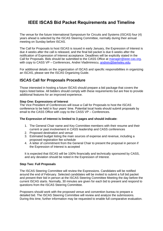# <span id="page-29-0"></span>**IEEE ISCAS Bid Packet Requirements and Timeline**

The venue for the future International Symposium for Circuits and Systems (ISCAS) four (4) years ahead is selected by the ISCAS Steering Committee, normally during their annual meeting on Sunday before ISCAS.

The Call for Proposals to host ISCAS is issued in early January, the Expression of Interest is due 4 weeks after the call is released, and the final bid packet is due 6 weeks after the notification of Expression of Interest acceptance. Deadlines will be explicitly stated in the Call for Proposals. Bids should be submitted to the CASS Office at [manager@ieee-cas.org,](mailto:manager@ieee-cas.org) with copy to CASS VP – Conferences, Andrei Vladimirescu, [andreiv@berkeley.edu.](mailto:anderiv@berkeley.edu)

For additional details on the organization of ISCAS and specific responsibilities in organizing an ISCAS, please see the ISCAS Organizing Guide.

## **ISCAS Call for Proposals Procedure**

Those interested in hosting a future ISCAS should prepare a bid package that covers the topics listed below. All bidders should comply with these requirements but are free to provide additional features for an improved experience.

#### **Step One: Expressions of Interest**

The Vice President of Conferences will issue a Call for Proposals to host the ISCAS conference to be held in four years' time. Potential local hosts should submit proposals by email to the CASS Office with copy to the CASS VP – Conferences.

#### **The Expression of Interest is limited to 3 pages and should indicate:**

- 1. The General Chair name and Key Committee members with their resume and their current or past involvement in CASS leadership and CASS conferences
- 2. Proposed destination and venue
- 3. Estimated budget listing the main sources of expense and revenue, including a proposed registration fee schedule
- 4. A letter of commitment from the General Chair to present the proposal in person if the Expression of Interest is accepted

It is expected that ISCAS will be 100% financially and technically sponsored by CASS, and any deviation should be noted in the Expression of Interest.

#### **Step Two: Full Proposals**

The ISCAS Steering Committee will review the Expressions. Candidates will be notified around the end of February. Selected candidates will be invited to submit a full bid packet and present their bid in person at the ISCAS Steering Committee Meeting the day before the current ISCAS starts. Normally, 30 minutes are given for each bid to present and respond to questions from the ISCAS Steering Committee.

Proposers should work with the proposed venue and convention bureau to prepare a detailed bid. The ISCAS Steering Committee will review and analyze the submissions. During this time, further information may be requested to enable full comparative evaluation.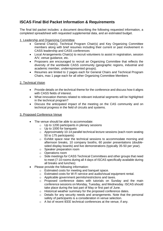## **ISCAS Final Bid Packet Information & Requirements**

The final bid packet includes: a document describing the following requested information, a completed spreadsheet with requested supplemental data, and an estimated budget.

#### 1. Leadership and Organizing Committee

- General Chair(s), Technical Program Chair(s) and Key Organizing Committee members along with brief resumes including their current or past involvement in CASS leadership and CASS conferences
- Local Arrangements Chair(s) to recruit volunteers to assist in registration, session A/V, venue guidance, etc.
- Proposers are encouraged to recruit an Organizing Committee that reflects the diversity of the worldwide CASS community (geographic regions, industrial and academic member, underrepresented groups).
- Resumes are limited to 2 pages each for General Chairs and Technical Program Chairs, max 1 page each for all other Organizing Committee Members

#### 2. Technical Vision

- Provide details on the technical theme for the conference and discuss how it aligns with CASS fields of interest.
- What innovation themes related to relevant industrial segments will be highlighted in the technical program?
- Discuss the anticipated impact of the meeting on the CAS community and on technical progress in the field of circuits and systems.

#### 3. Proposed Conference Venue

- The venue should be able to accommodate:
	- o Up to 1200 participants in plenary sessions
	- $\circ$  Up to 1000 for banquets
	- $\circ$  Approximately 10-14 parallel technical lecture sessions (each room seating 50 to 175 participants)
	- o Exhibit space near the technical sessions to accommodate morning and afternoon breaks, 10 company booths, 60 poster presentations (doublesided display boards) and live demonstrations (typically 35-50 per year).
	- o Speaker preparation room
	- o Operations room
	- $\circ$  Side meetings for CASS Technical Committees and other groups that need to meet (7-10 rooms during all 4 days of ISCAS specifically available during all breaks and lunches)
- Please provide the following information:
	- o Estimated costs for meeting and banquet space.
	- o Estimated costs for W-Fi service and audio/visual equipment rental.
	- o Applicable government permits/restrictions and taxes.
	- $\circ$  Proposed conference dates with tutorials on Sunday and the main conference sessions on Monday, Tuesday, and Wednesday. ISCAS should take place during the last part of May or first part of June.
	- o Historical weather summary for the proposed conference dates.
	- $\circ$  Details for any security needs and arrangements. Note that the personal safety of participants is a consideration in venue selection.
	- o A list of recent IEEE technical conferences at the venue, if any.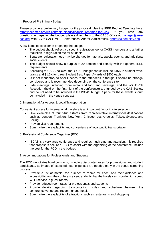#### 4. Proposed Preliminary Budget

Please provide a preliminary budget for the proposal. Use the IEEE Budget Template here:<br>https://jeeemce.org/wp-content/uploads/financial-reporting-tool.xlsx. If vou have any [https://ieeemce.org/wp-content/uploads/financial-reporting-tool.xlsx.](https://ieeemce.org/wp-content/uploads/financial-reporting-tool.xlsx) If you questions in preparing the budget, please direct them to the CASS Office at [manager@ieee](mailto:manager@ieee-cas.org)[cas.org,](mailto:manager@ieee-cas.org) with CC to CASS VP – Conferences, Andrei Vladimirescu, [andreiv@berkeley.edu.](mailto:anderiv@berkeley.edu)

A few items to consider in preparing the budget:

- The budget should reflect a discount registration fee for CASS members and a further reduction in registration fee for students.
- Separate registration fees may be charged for tutorials, special events, and additional social events.
- The budget should show a surplus of 20 percent and comply with the general IEEE requirements.
- According to CASS policies, the ISCAS budget should include \$15K in student travel grants and \$1.5K for three Student Best Paper Awards of \$500 each.
- Is it not mandatory to offer lunches to the attendees, although it should be strongly considered and is recommended depending on the conference site.
- Side meetings (including room rental and food and beverage) and the WiCAS/YP Reception (held on the first night of the conference) are funded by the CAS Society and do not need to be included in the ISCAS budget. Space for these events should be included in the venue contract.

#### 5. International Air Access & Local Transportation

Convenient access for international travelers is an important factor in site selection.

- Give examples of round-trip airfares from representative international destinations such as London, Frankfurt, New York, Chicago, Los Angeles, Tokyo, Sydney, and Beijing.
- Provide visa requirements.
- Summarize the availability and convenience of local public transportation.

#### 6. Professional Conference Organizer (PCO)

• ISCAS is a very large conference and requires much time and attention. It is required that proposers secure a PCO to assist with the organizing of the conference. Include the cost for the PCO in the budget.

#### 7. Accommodations for Professionals and Students

The PCO negotiates hotel contracts, including discounted rates for professional and student participants. Estimates of expected hotel expenses are needed early in the venue screening process.

- Provide a list of hotels, the number of rooms for each, and their distance and accessibility from the conference venue. Verify that the hotels can provide high speed Wi-Fi service in guest rooms.
- Provide reduced room rates for professionals and students.
- Provide details regarding transportation modes and schedules between the conference venue and recommended hotels.
- Summarize the availability of attractions such as restaurants and shopping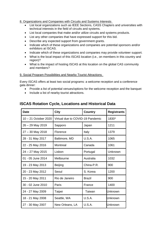8. Organizations and Companies with Circuits and Systems Interests

- List local organizations such as IEEE Sections, CASS Chapters and universities with technical interests in the field of circuits and systems.
- List local companies that make and/or utilize circuits and systems products.
- List any other companies that have expressed support for this bid.
- Describe any expected support from government grants.
- Indicate which of these organizations and companies are potential sponsors and/or exhibitors at ISCAS.
- Indicate which of these organizations and companies may provide volunteer support.
- What is the local impact of this ISCAS location (i.e., on members in this country and region)?
- What is the impact of hosting ISCAS at this location on the global CAS community and members?

#### 9. Social Program Possibilities and Nearby Tourist Attractions

Every ISCAS offers at least two social programs: a welcome reception and a conference gala dinner:

- Provide a list of potential venues/options for the welcome reception and the banquet
- Include a list of nearby tourist attractions.

# Date **City City Country Registrants** 10 – 21 October 2020 Virtual due to COVID-19 Pandemic 1830\* 26 – 29 May 2019 Sapporo Japan | 1211 27 – 30 May 2018 | Florence | Italy | 1379 28 - 31 May 2017 | Baltimore, MD | U.S.A. | 1065 22 - 25 May 2016 | Montreal | Canada | 1061 24 – 27 May 2015 | Lisbon | Portugal | Unknown 01 - 05 June 2014 Melbourne Australia 1032 19 - 23 May 2013 | Beijing | China-P.R. | 900 20 - 23 May 2012 | Seoul | S. Korea | 1200 15 - 20 May 2011 | Rio de Janeiro | Brazil | 900 30 - 02 June 2010 Paris France 1400 24 - 27 May 2009 | Taipei | Taiwan | Unknown 18 - 21 May 2008 **Seattle, WA** U.S.A. **Unknown** 27 - 30 May 2007 | New Orleans, LA | U.S.A. | Unknown

### **ISCAS Rotation Cycle, Locations and Historical Data**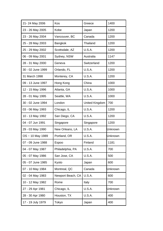| 21-24 May 2006        | Kos               | Greece                | 1400    |
|-----------------------|-------------------|-----------------------|---------|
| 23 - 26 May 2005      | Kobe              | Japan                 | 1200    |
| 23 - 26 May 2004      | Vancouver, BC     | Canada                | 1200    |
| 25 - 28 May 2003      | Bangkok           | <b>Thailand</b>       | 1200    |
| 25 - 29 May 2002      | Scottsdale, AZ    | <b>U.S.A.</b>         | 1200    |
| 06 - 09 May 2001      | Sydney, NSW       | Australia             | 1147    |
| 28 - 31 May 2000      | Geneva            | Switzerland           | 1200    |
| 30 - 02 June 1999     | Orlando, FL       | <b>U.S.A.</b>         | 1200    |
| 31 March 1998         | Monterey, CA      | U.S.A.                | 1200    |
| 09 - 13 June 1997     | Hong Kong         | China                 | 1000    |
| 12 - 15 May 1996      | Atlanta, GA       | <b>U.S.A.</b>         | 1000    |
| 28 - 01 May 1995      | Seattle, WA       | <b>U.S.A.</b>         | 1000    |
| 30 - 02 June 1994     | London            | <b>United Kingdom</b> | 700     |
| 03 - 06 May 1993      | Chicago, IL       | <b>U.S.A.</b>         | 1200    |
| 10 - 13 May 1992      | San Diego, CA     | <b>U.S.A.</b>         | 1200    |
| 04 - 07 Jun 1991      | Singapore         | Singapore             | 1200    |
| 29 - 03 May 1990      | New Orleans, LA   | <b>U.S.A.</b>         | Unknown |
| $OS \sim 10$ May 1989 | Portland, OR      | U.S.A.                | Unknown |
| 07 - 09 June 1988     | Espoo             | Finland               | 1181    |
| 04 - 07 May 1987      | Philadelphia, PA  | U.S.A.                | 700     |
| 05 - 07 May 1986      | San Jose, CA      | U.S.A.                | 500     |
| 05 - 07 June 1985     | Kyoto             | Japan                 | 600     |
| 07 - 10 May 1984      | Montreal, QC      | Canada                | Unknown |
| 02 - 04 May 1983      | Newport Beach, CA | <b>U.S.A.</b>         | 600     |
| 10 - 12 May 1982      | Rome              | Italy                 | 700     |
| 27 - 29 Apr 1981      | Chicago, IL       | U.S.A.                | Unknown |
| 28 - 30 Apr 1980      | Houston, TX       | U.S.A.                | 400     |
| 17 - 19 July 1979     | Tokyo             | Japan                 | 400     |